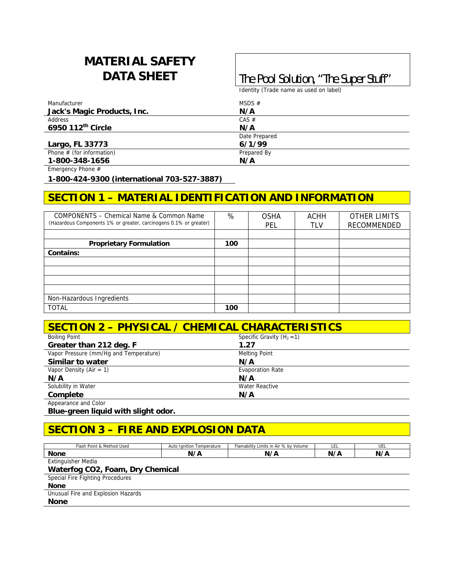# **MATERIAL SAFETY**

## **DATA SHEET The Pool Solution, "The Super Stuff"**

Identity (Trade name as used on label)

| Manufacturer                | MSDS $#$      |
|-----------------------------|---------------|
| Jack's Magic Products, Inc. | N/A           |
| Address                     | $CAS \#$      |
| 6950 112th Circle           | N/A           |
|                             | Date Prepared |
| Largo, FL 33773             | 6/1/99        |
| Phone $#$ (for information) | Prepared By   |
| 1-800-348-1656              | N/A           |

Emergency Phone #

**1-800-424-9300 (international 703-527-3887)** 

### **SECTION 1 – MATERIAL IDENTIFICATION AND INFORMATION**

| COMPONENTS – Chemical Name & Common Name<br>(Hazardous Components 1% or greater, carcinogens 0.1% or greater) | %   | <b>OSHA</b><br>PEL | ACHH<br>tlv | <b>OTHER LIMITS</b><br>RECOMMENDED |
|---------------------------------------------------------------------------------------------------------------|-----|--------------------|-------------|------------------------------------|
|                                                                                                               |     |                    |             |                                    |
| <b>Proprietary Formulation</b>                                                                                | 100 |                    |             |                                    |
| <b>Contains:</b>                                                                                              |     |                    |             |                                    |
|                                                                                                               |     |                    |             |                                    |
|                                                                                                               |     |                    |             |                                    |
|                                                                                                               |     |                    |             |                                    |
|                                                                                                               |     |                    |             |                                    |
| Non-Hazardous Ingredients                                                                                     |     |                    |             |                                    |
| <b>TOTAL</b>                                                                                                  | 100 |                    |             |                                    |

| SECTION 2 - PHYSICAL / CHEMICAL CHARACTERISTICS |                              |  |  |
|-------------------------------------------------|------------------------------|--|--|
| <b>Boiling Point</b>                            | Specific Gravity $(H_2 = 1)$ |  |  |
| Greater than 212 deg. F                         | 1.27                         |  |  |
| Vapor Pressure (mm/Hq and Temperature)          | <b>Melting Point</b>         |  |  |
| Similar to water                                | N/A                          |  |  |
| Vapor Density (Air = $1$ )                      | <b>Evaporation Rate</b>      |  |  |
| N/A                                             | N/A                          |  |  |
| Solubility in Water                             | <b>Water Reactive</b>        |  |  |
| Complete                                        | N/A                          |  |  |
| Appearance and Color                            |                              |  |  |

**Blue-green liquid with slight odor.** 

### **SECTION 3 – FIRE AND EXPLOSION DATA**

| Flash Point & Method Used          | Auto Ignition Temperature | Flamability Limits in Air % by Volume | LEL | UEL |  |
|------------------------------------|---------------------------|---------------------------------------|-----|-----|--|
| <b>None</b>                        | N/A                       | N/A                                   | N/A | N/A |  |
| <b>Extinguisher Media</b>          |                           |                                       |     |     |  |
| Waterfog CO2, Foam, Dry Chemical   |                           |                                       |     |     |  |
| Special Fire Fighting Procedures   |                           |                                       |     |     |  |
| <b>None</b>                        |                           |                                       |     |     |  |
| Unusual Fire and Explosion Hazards |                           |                                       |     |     |  |
| <b>None</b>                        |                           |                                       |     |     |  |